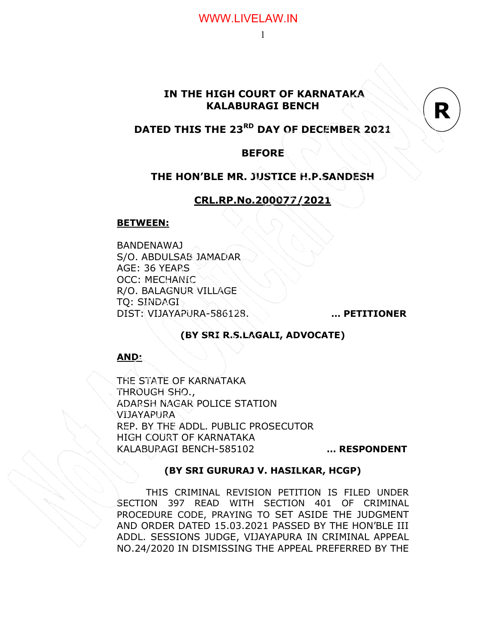### IN THE HIGH COURT OF KARNATAKA KALABURAGI BENCH

### DATED THIS THE 23<sup>RD</sup> DAY OF DECEMBER 2021

#### **BEFORE**

#### THE HON'BLE MR. JUSTICE H.P.SANDESH

### CRL.RP.No.200077/2021

#### BETWEEN:

BANDENAWAJ S/O. ABDULSAB JAMADAR AGE: 36 YEARS OCC: MECHANIC R/O. BALAGNUR VILLAGE TQ: SINDAGI DIST: VIJAYAPURA-586128. … PETITIONER

R

#### (BY SRI R.S.LAGALI, ADVOCATE)

AND:

THE STATE OF KARNATAKA THROUGH SHO., ADARSH NAGAR POLICE STATION VIJAYAPURA REP. BY THE ADDL. PUBLIC PROSECUTOR HIGH COURT OF KARNATAKA KALABURAGI BENCH-585102 … RESPONDENT

#### (BY SRI GURURAJ V. HASILKAR, HCGP)

THIS CRIMINAL REVISION PETITION IS FILED UNDER SECTION 397 READ WITH SECTION 401 OF CRIMINAL PROCEDURE CODE, PRAYING TO SET ASIDE THE JUDGMENT AND ORDER DATED 15.03.2021 PASSED BY THE HON'BLE III ADDL. SESSIONS JUDGE, VIJAYAPURA IN CRIMINAL APPEAL NO.24/2020 IN DISMISSING THE APPEAL PREFERRED BY THE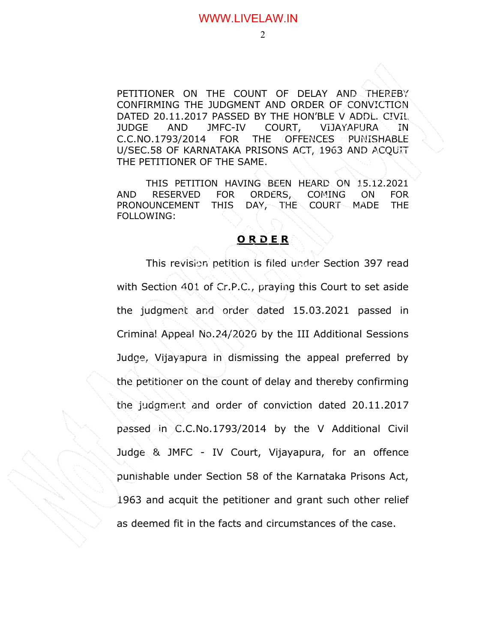PETITIONER ON THE COUNT OF DELAY AND THEREBY CONFIRMING THE JUDGMENT AND ORDER OF CONVICTION DATED 20.11.2017 PASSED BY THE HON'BLE V ADDL. CIVIL JUDGE AND JMFC-IV COURT, VIJAYAPURA IN C.C.NO.1793/2014 FOR THE OFFENCES PUNISHABLE U/SEC.58 OF KARNATAKA PRISONS ACT, 1963 AND ACQUIT THE PETITIONER OF THE SAME.

THIS PETITION HAVING BEEN HEARD ON 15.12.2021 AND RESERVED FOR ORDERS, COMING ON FOR PRONOUNCEMENT THIS DAY, THE COURT MADE THE FOLLOWING:

#### ORDER

 This revision petition is filed under Section 397 read with Section 401 of Cr.P.C., praying this Court to set aside the judgment and order dated 15.03.2021 passed in Criminal Appeal No.24/2020 by the III Additional Sessions Judge, Vijayapura in dismissing the appeal preferred by the petitioner on the count of delay and thereby confirming the judgment and order of conviction dated 20.11.2017 passed in C.C.No.1793/2014 by the V Additional Civil Judge & JMFC - IV Court, Vijayapura, for an offence punishable under Section 58 of the Karnataka Prisons Act, 1963 and acquit the petitioner and grant such other relief as deemed fit in the facts and circumstances of the case.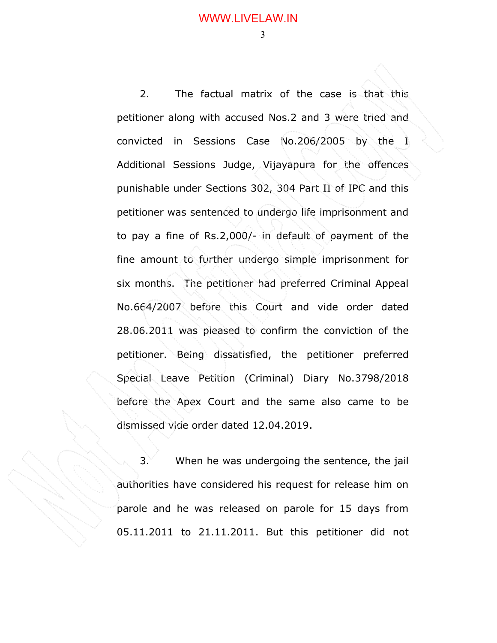2. The factual matrix of the case is that this petitioner along with accused Nos.2 and 3 were tried and convicted in Sessions Case No.206/2005 by the I Additional Sessions Judge, Vijayapura for the offences punishable under Sections 302, 304 Part II of IPC and this petitioner was sentenced to undergo life imprisonment and to pay a fine of Rs.2,000/- in default of payment of the fine amount to further undergo simple imprisonment for six months. The petitioner had preferred Criminal Appeal No.664/2007 before this Court and vide order dated 28.06.2011 was pleased to confirm the conviction of the petitioner. Being dissatisfied, the petitioner preferred Special Leave Petition (Criminal) Diary No.3798/2018 before the Apex Court and the same also came to be dismissed vide order dated 12.04.2019.

 $3.$  When he was undergoing the sentence, the jail authorities have considered his request for release him on parole and he was released on parole for 15 days from 05.11.2011 to 21.11.2011. But this petitioner did not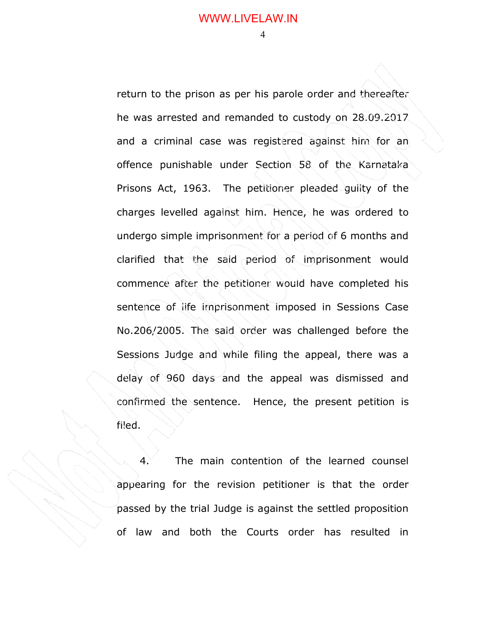return to the prison as per his parole order and thereafter he was arrested and remanded to custody on 28.09.2017 and a criminal case was registered against him for an offence punishable under Section 58 of the Karnataka Prisons Act, 1963. The petitioner pleaded guilty of the charges levelled against him. Hence, he was ordered to undergo simple imprisonment for a period of 6 months and clarified that the said period of imprisonment would commence after the petitioner would have completed his sentence of life imprisonment imposed in Sessions Case No.206/2005. The said order was challenged before the Sessions Judge and while filing the appeal, there was a delay of 960 days and the appeal was dismissed and confirmed the sentence. Hence, the present petition is filed.

 $4.$  The main contention of the learned counsel appearing for the revision petitioner is that the order passed by the trial Judge is against the settled proposition of law and both the Courts order has resulted in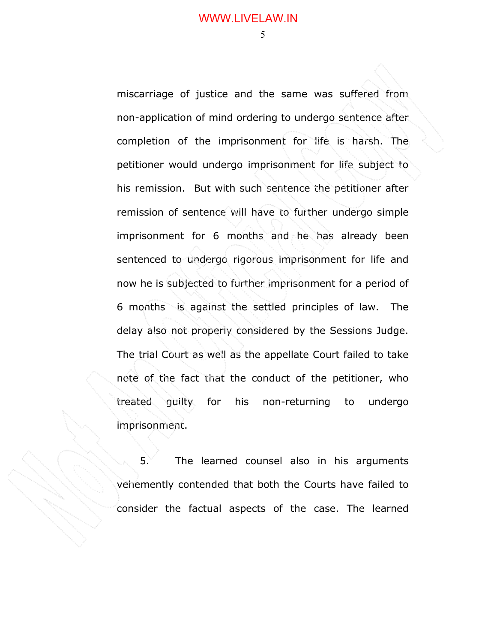$\sim$  5

miscarriage of justice and the same was suffered from non-application of mind ordering to undergo sentence after completion of the imprisonment for life is harsh. The petitioner would undergo imprisonment for life subject to his remission. But with such sentence the petitioner after remission of sentence will have to further undergo simple imprisonment for 6 months and he has already been sentenced to undergo rigorous imprisonment for life and now he is subjected to further imprisonment for a period of 6 months is against the settled principles of law. The delay also not properly considered by the Sessions Judge. The trial Court as well as the appellate Court failed to take note of the fact that the conduct of the petitioner, who treated guilty for his non-returning to undergo imprisonment.

 $5.$  The learned counsel also in his arguments vehemently contended that both the Courts have failed to consider the factual aspects of the case. The learned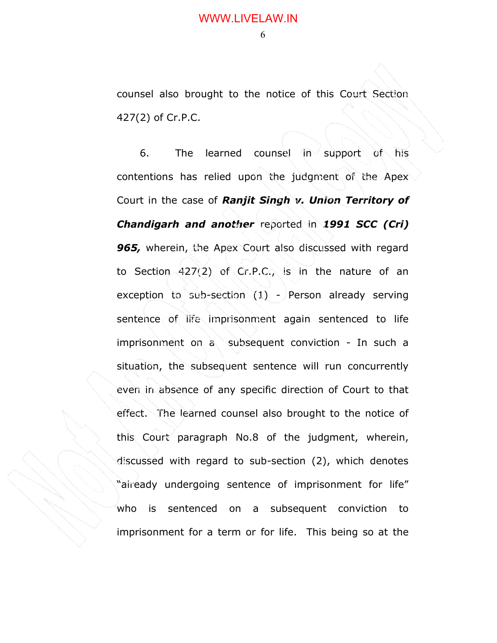counsel also brought to the notice of this Court Section 427(2) of Cr.P.C.

 $6.$  The learned counsel in support of his contentions has relied upon the judgment of the Apex Court in the case of Ranjit Singh v. Union Territory of Chandigarh and another reported in 1991 SCC (Cri) **965,** wherein, the Apex Court also discussed with regard to Section 427(2) of Cr.P.C., is in the nature of an exception to sub-section (1) - Person already serving sentence of life imprisonment again sentenced to life imprisonment on a subsequent conviction - In such a situation, the subsequent sentence will run concurrently even in absence of any specific direction of Court to that effect. The learned counsel also brought to the notice of this Court paragraph No.8 of the judgment, wherein, discussed with regard to sub-section (2), which denotes "already undergoing sentence of imprisonment for life" who is sentenced on a subsequent conviction to imprisonment for a term or for life. This being so at the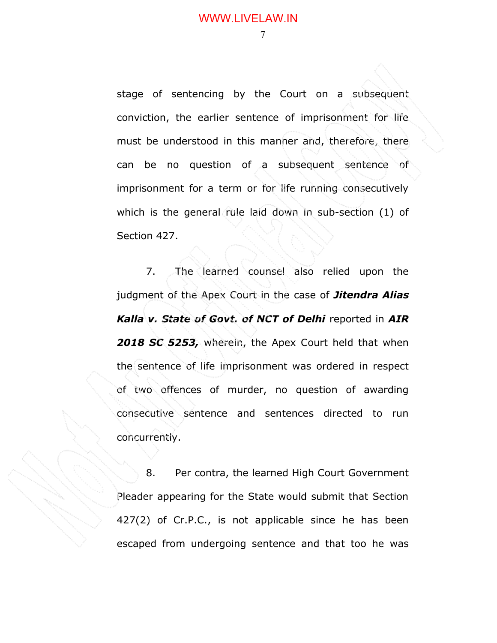7

stage of sentencing by the Court on a subsequent conviction, the earlier sentence of imprisonment for life must be understood in this manner and, therefore, there can be no question of a subsequent sentence of imprisonment for a term or for life running consecutively which is the general rule laid down in sub-section (1) of Section 427.

7. The learned counsel also relied upon the judgment of the Apex Court in the case of **Jitendra Alias** Kalla v. State of Govt. of NCT of Delhi reported in AIR 2018 SC 5253, wherein, the Apex Court held that when the sentence of life imprisonment was ordered in respect of two offences of murder, no question of awarding consecutive sentence and sentences directed to run concurrently.

8. Per contra, the learned High Court Government Pleader appearing for the State would submit that Section 427(2) of Cr.P.C., is not applicable since he has been escaped from undergoing sentence and that too he was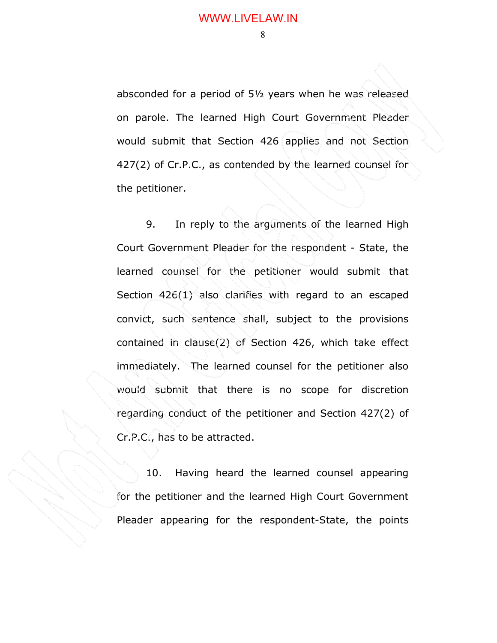absconded for a period of 5½ years when he was released on parole. The learned High Court Government Pleader would submit that Section 426 applies and not Section 427(2) of Cr.P.C., as contended by the learned counsel for the petitioner.

9. In reply to the arguments of the learned High Court Government Pleader for the respondent - State, the learned counsel for the petitioner would submit that Section 426(1) also clarifies with regard to an escaped convict, such sentence shall, subject to the provisions contained in clause(2) of Section 426, which take effect immediately. The learned counsel for the petitioner also would submit that there is no scope for discretion regarding conduct of the petitioner and Section 427(2) of Cr.P.C., has to be attracted.

10. Having heard the learned counsel appearing for the petitioner and the learned High Court Government Pleader appearing for the respondent-State, the points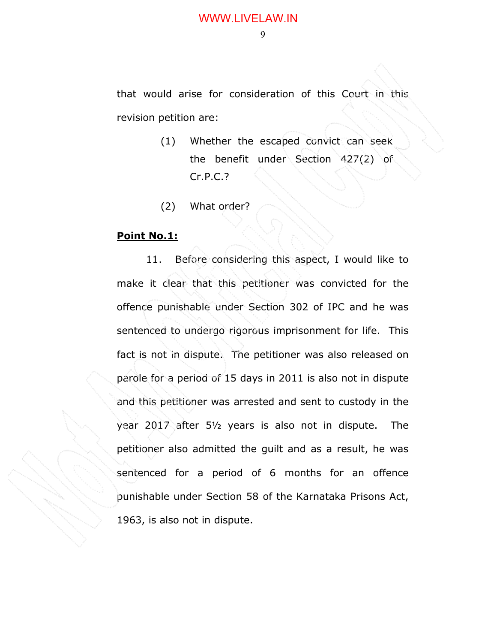that would arise for consideration of this Court in this revision petition are:

- (1) Whether the escaped convict can seek the benefit under Section 427(2) of Cr.P.C.?
- (2) What order?

#### Point No.1:

11. Before considering this aspect, I would like to make it clear that this petitioner was convicted for the offence punishable under Section 302 of IPC and he was sentenced to undergo rigorous imprisonment for life. This fact is not in dispute. The petitioner was also released on parole for a period of 15 days in 2011 is also not in dispute and this petitioner was arrested and sent to custody in the year 2017 after 5½ years is also not in dispute. The petitioner also admitted the guilt and as a result, he was sentenced for a period of 6 months for an offence punishable under Section 58 of the Karnataka Prisons Act, 1963, is also not in dispute.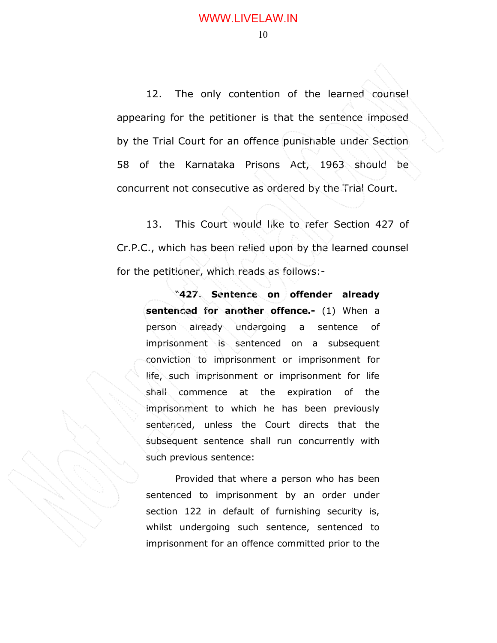12. The only contention of the learned counsel appearing for the petitioner is that the sentence imposed by the Trial Court for an offence punishable under Section 58 of the Karnataka Prisons Act, 1963 should be concurrent not consecutive as ordered by the Trial Court.

13. This Court would like to refer Section 427 of Cr.P.C., which has been relied upon by the learned counsel for the petitioner, which reads as follows:-

"427. Sentence on offender already sentenced for another offence.- (1) When a person already undergoing a sentence of imprisonment is sentenced on a subsequent conviction to imprisonment or imprisonment for life, such imprisonment or imprisonment for life shall commence at the expiration of the imprisonment to which he has been previously sentenced, unless the Court directs that the subsequent sentence shall run concurrently with such previous sentence:

Provided that where a person who has been sentenced to imprisonment by an order under section 122 in default of furnishing security is, whilst undergoing such sentence, sentenced to imprisonment for an offence committed prior to the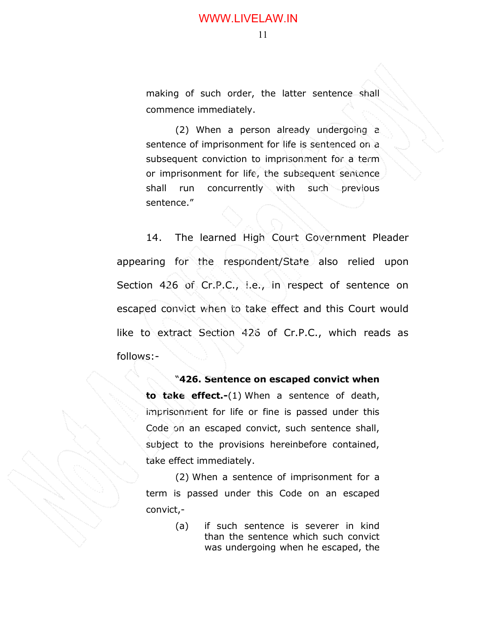making of such order, the latter sentence shall commence immediately.

(2) When a person already undergoing a sentence of imprisonment for life is sentenced on a subsequent conviction to imprisonment for a term or imprisonment for life, the subsequent sentence shall run concurrently with such previous sentence."

14. The learned High Court Government Pleader appearing for the respondent/State also relied upon Section 426 of Cr.P.C., i.e., in respect of sentence on escaped convict when to take effect and this Court would like to extract Section 426 of Cr.P.C., which reads as follows:-

"426. Sentence on escaped convict when

to take effect.-(1) When a sentence of death, imprisonment for life or fine is passed under this Code on an escaped convict, such sentence shall, subject to the provisions hereinbefore contained, take effect immediately.

(2) When a sentence of imprisonment for a term is passed under this Code on an escaped convict,-

> (a) if such sentence is severer in kind than the sentence which such convict was undergoing when he escaped, the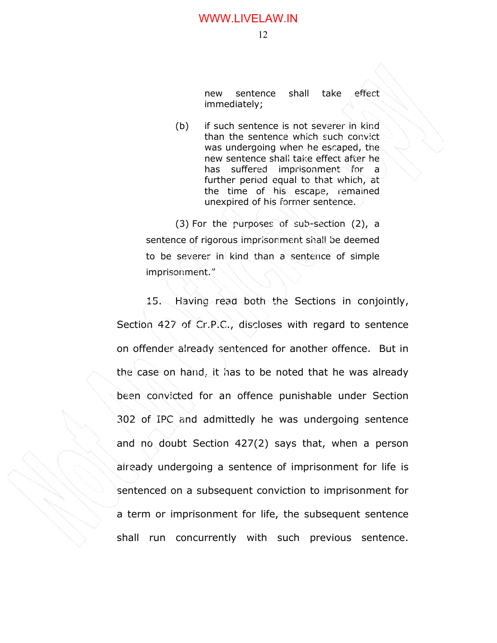new sentence shall take effect immediately;

(b) if such sentence is not severer in kind than the sentence which such convict was undergoing when he escaped, the new sentence shall take effect after he has suffered imprisonment for a further period equal to that which, at the time of his escape, remained unexpired of his former sentence.

(3) For the purposes of sub-section (2), a sentence of rigorous imprisonment shall be deemed to be severer in kind than a sentence of simple imprisonment."

 15. Having read both the Sections in conjointly, Section 427 of Cr.P.C., discloses with regard to sentence on offender already sentenced for another offence. But in the case on hand, it has to be noted that he was already been convicted for an offence punishable under Section 302 of IPC and admittedly he was undergoing sentence and no doubt Section 427(2) says that, when a person already undergoing a sentence of imprisonment for life is sentenced on a subsequent conviction to imprisonment for a term or imprisonment for life, the subsequent sentence shall run concurrently with such previous sentence.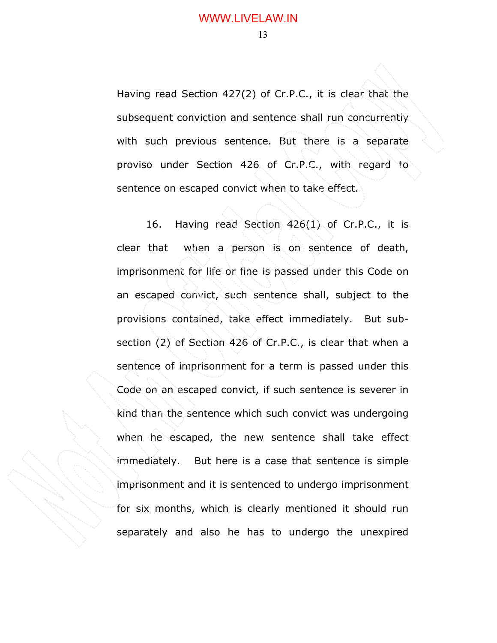Having read Section 427(2) of Cr.P.C., it is clear that the subsequent conviction and sentence shall run concurrently with such previous sentence. But there is a separate proviso under Section 426 of Cr.P.C., with regard to sentence on escaped convict when to take effect.

 16. Having read Section 426(1) of Cr.P.C., it is clear that when a person is on sentence of death, imprisonment for life or fine is passed under this Code on an escaped convict, such sentence shall, subject to the provisions contained, take effect immediately. But subsection (2) of Section 426 of Cr.P.C., is clear that when a sentence of imprisonment for a term is passed under this Code on an escaped convict, if such sentence is severer in kind than the sentence which such convict was undergoing when he escaped, the new sentence shall take effect immediately. But here is a case that sentence is simple imprisonment and it is sentenced to undergo imprisonment for six months, which is clearly mentioned it should run separately and also he has to undergo the unexpired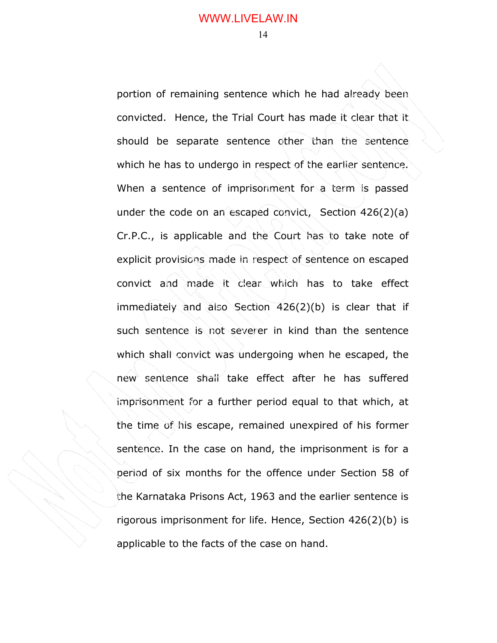portion of remaining sentence which he had already been convicted. Hence, the Trial Court has made it clear that it should be separate sentence other than the sentence which he has to undergo in respect of the earlier sentence. When a sentence of imprisonment for a term is passed under the code on an escaped convict, Section 426(2)(a) Cr.P.C., is applicable and the Court has to take note of explicit provisions made in respect of sentence on escaped convict and made it clear which has to take effect immediately and also Section 426(2)(b) is clear that if such sentence is not severer in kind than the sentence which shall convict was undergoing when he escaped, the new sentence shall take effect after he has suffered imprisonment for a further period equal to that which, at the time of his escape, remained unexpired of his former sentence. In the case on hand, the imprisonment is for a period of six months for the offence under Section 58 of the Karnataka Prisons Act, 1963 and the earlier sentence is rigorous imprisonment for life. Hence, Section 426(2)(b) is applicable to the facts of the case on hand.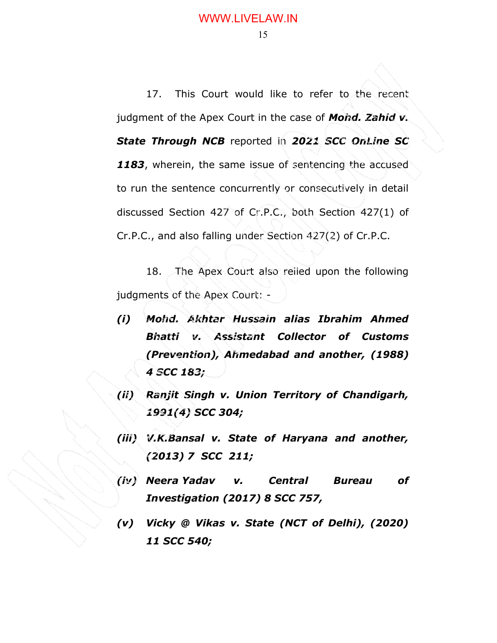17. This Court would like to refer to the recent judgment of the Apex Court in the case of **Mohd. Zahid v.** State Through NCB reported in 2021 SCC OnLine SC 1183, wherein, the same issue of sentencing the accused to run the sentence concurrently or consecutively in detail discussed Section 427 of Cr.P.C., both Section 427(1) of Cr.P.C., and also falling under Section 427(2) of Cr.P.C.

 18. The Apex Court also relied upon the following judgments of the Apex Court: -

- (i) Mohd. Akhtar Hussain alias Ibrahim Ahmed Bhatti v. Assistant Collector of Customs (Prevention), Ahmedabad and another, (1988) 4 SCC 183;
- (ii) Ranjit Singh v. Union Territory of Chandigarh, 1991(4) SCC 304;
- (iii) V.K.Bansal v. State of Haryana and another, (2013) 7 SCC 211;
- (iv) Neera Yadav v. Central Bureau of Investigation (2017) 8 SCC 757,
- (v) Vicky @ Vikas v. State (NCT of Delhi), (2020) 11 SCC 540;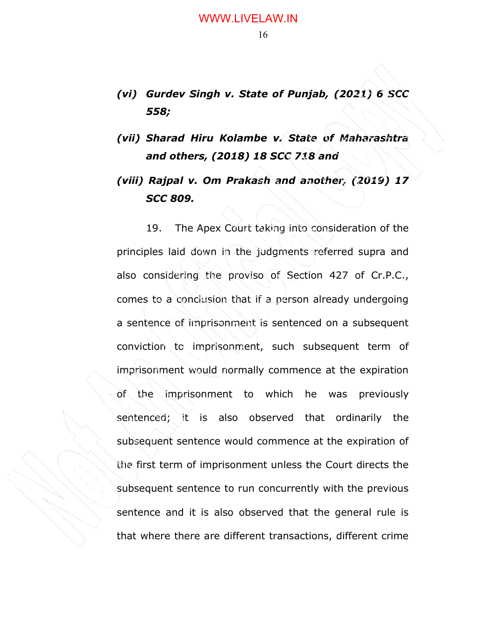- (vi) Gurdev Singh v. State of Punjab, (2021) 6 SCC 558;
- (vii) Sharad Hiru Kolambe v. State of Maharashtra and others, (2018) 18 SCC 718 and

# (viii) Rajpal v. Om Prakash and another, (2019) 17 SCC 809.

19. The Apex Court taking into consideration of the principles laid down in the judgments referred supra and also considering the proviso of Section 427 of Cr.P.C., comes to a conclusion that if a person already undergoing a sentence of imprisonment is sentenced on a subsequent conviction to imprisonment, such subsequent term of imprisonment would normally commence at the expiration of the imprisonment to which he was previously sentenced; it is also observed that ordinarily the subsequent sentence would commence at the expiration of the first term of imprisonment unless the Court directs the subsequent sentence to run concurrently with the previous sentence and it is also observed that the general rule is that where there are different transactions, different crime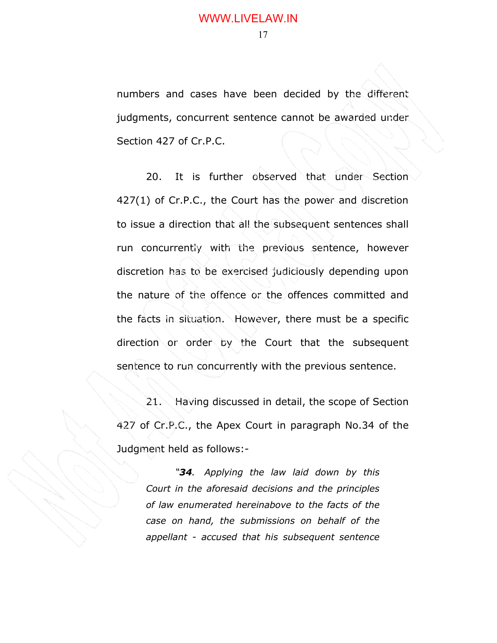numbers and cases have been decided by the different judgments, concurrent sentence cannot be awarded under Section 427 of Cr.P.C.

20. It is further observed that under Section 427(1) of Cr.P.C., the Court has the power and discretion to issue a direction that all the subsequent sentences shall run concurrently with the previous sentence, however discretion has to be exercised judiciously depending upon the nature of the offence or the offences committed and the facts in situation. However, there must be a specific direction or order by the Court that the subsequent sentence to run concurrently with the previous sentence.

21. Having discussed in detail, the scope of Section 427 of Cr.P.C., the Apex Court in paragraph No.34 of the Judgment held as follows:-

"34. Applying the law laid down by this Court in the aforesaid decisions and the principles of law enumerated hereinabove to the facts of the case on hand, the submissions on behalf of the appellant - accused that his subsequent sentence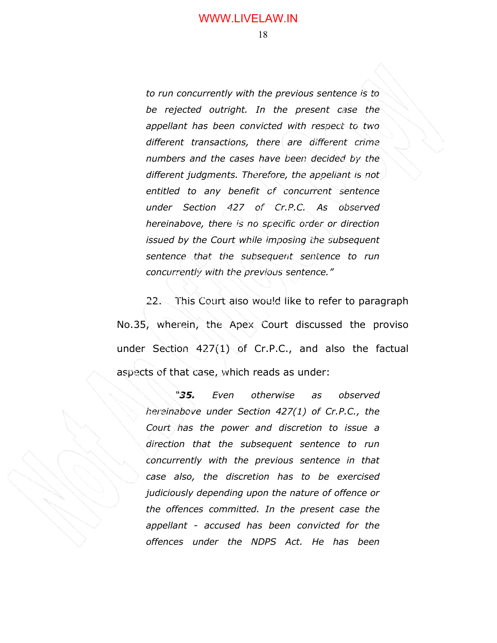to run concurrently with the previous sentence is to be rejected outright. In the present case the appellant has been convicted with respect to two different transactions, there are different crime numbers and the cases have been decided by the different judgments. Therefore, the appellant is not entitled to any benefit of concurrent sentence under Section 427 of Cr.P.C. As observed hereinabove, there is no specific order or direction issued by the Court while imposing the subsequent sentence that the subsequent sentence to run concurrently with the previous sentence."

 22. This Court also would like to refer to paragraph No.35, wherein, the Apex Court discussed the proviso under Section 427(1) of Cr.P.C., and also the factual aspects of that case, which reads as under:

"35. Even otherwise as observed hereinabove under Section 427(1) of Cr.P.C., the Court has the power and discretion to issue a direction that the subsequent sentence to run concurrently with the previous sentence in that case also, the discretion has to be exercised judiciously depending upon the nature of offence or the offences committed. In the present case the appellant - accused has been convicted for the offences under the NDPS Act. He has been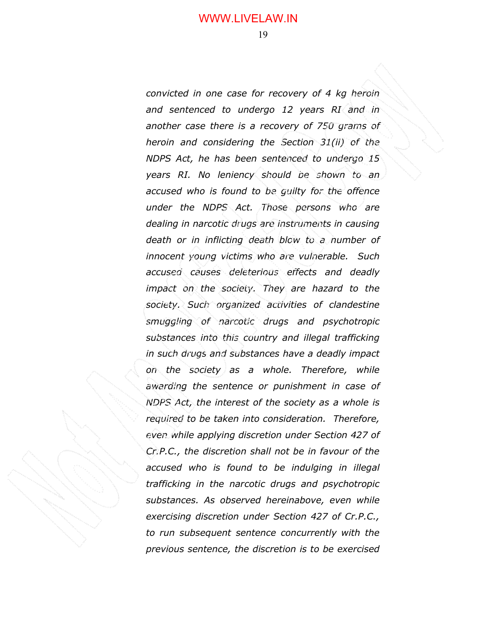convicted in one case for recovery of 4 kg heroin and sentenced to undergo 12 years RI and in another case there is a recovery of 750 grams of heroin and considering the Section 31(ii) of the NDPS Act, he has been sentenced to undergo 15 years RI. No leniency should be shown to an accused who is found to be guilty for the offence under the NDPS Act. Those persons who are dealing in narcotic drugs are instruments in causing death or in inflicting death blow to a number of innocent young victims who are vulnerable. Such accused causes deleterious effects and deadly impact on the society. They are hazard to the society. Such organized activities of clandestine smuggling of narcotic drugs and psychotropic substances into this country and illegal trafficking in such drugs and substances have a deadly impact on the society as a whole. Therefore, while awarding the sentence or punishment in case of NDPS Act, the interest of the society as a whole is required to be taken into consideration. Therefore, even while applying discretion under Section 427 of Cr.P.C., the discretion shall not be in favour of the accused who is found to be indulging in illegal trafficking in the narcotic drugs and psychotropic substances. As observed hereinabove, even while exercising discretion under Section 427 of Cr.P.C., to run subsequent sentence concurrently with the previous sentence, the discretion is to be exercised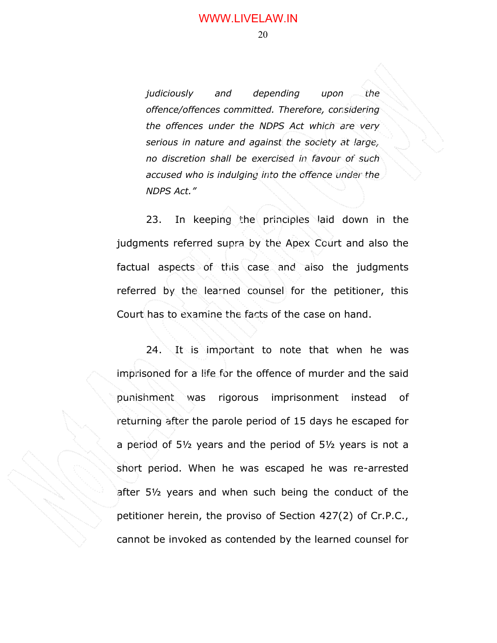judiciously and depending upon the offence/offences committed. Therefore, considering the offences under the NDPS Act which are very serious in nature and against the society at large, no discretion shall be exercised in favour of such accused who is indulging into the offence under the NDPS Act."

23. In keeping the principles laid down in the judgments referred supra by the Apex Court and also the factual aspects of this case and also the judgments referred by the learned counsel for the petitioner, this Court has to examine the facts of the case on hand.

24. It is important to note that when he was imprisoned for a life for the offence of murder and the said punishment was rigorous imprisonment instead of returning after the parole period of 15 days he escaped for a period of 5½ years and the period of 5½ years is not a short period. When he was escaped he was re-arrested after 5½ years and when such being the conduct of the petitioner herein, the proviso of Section 427(2) of Cr.P.C., cannot be invoked as contended by the learned counsel for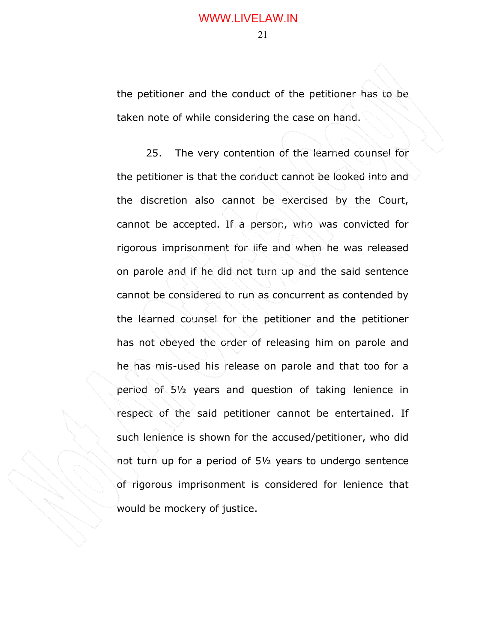the petitioner and the conduct of the petitioner has to be taken note of while considering the case on hand.

25. The very contention of the learned counsel for the petitioner is that the conduct cannot be looked into and the discretion also cannot be exercised by the Court, cannot be accepted. If a person, who was convicted for rigorous imprisonment for life and when he was released on parole and if he did not turn up and the said sentence cannot be considered to run as concurrent as contended by the learned counsel for the petitioner and the petitioner has not obeyed the order of releasing him on parole and he has mis-used his release on parole and that too for a period of 5½ years and question of taking lenience in respect of the said petitioner cannot be entertained. If such lenience is shown for the accused/petitioner, who did not turn up for a period of 5½ years to undergo sentence of rigorous imprisonment is considered for lenience that would be mockery of justice.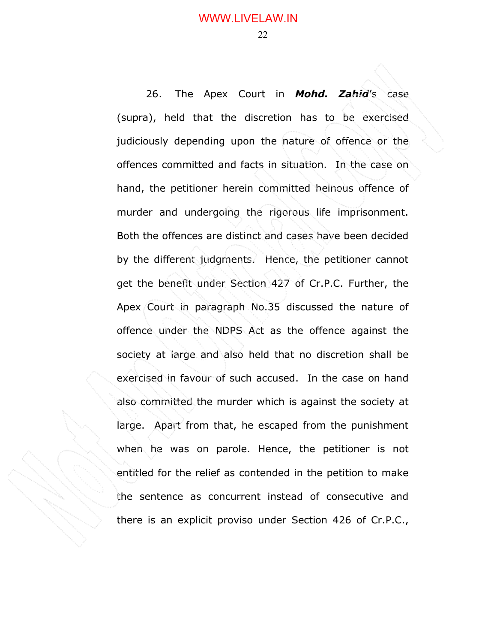26. The Apex Court in **Mohd. Zahid's** case (supra), held that the discretion has to be exercised judiciously depending upon the nature of offence or the offences committed and facts in situation. In the case on hand, the petitioner herein committed heinous offence of murder and undergoing the rigorous life imprisonment. Both the offences are distinct and cases have been decided by the different judgments. Hence, the petitioner cannot get the benefit under Section 427 of Cr.P.C. Further, the Apex Court in paragraph No.35 discussed the nature of offence under the NDPS Act as the offence against the society at large and also held that no discretion shall be exercised in favour of such accused. In the case on hand also committed the murder which is against the society at large. Apart from that, he escaped from the punishment when he was on parole. Hence, the petitioner is not entitled for the relief as contended in the petition to make the sentence as concurrent instead of consecutive and there is an explicit proviso under Section 426 of Cr.P.C.,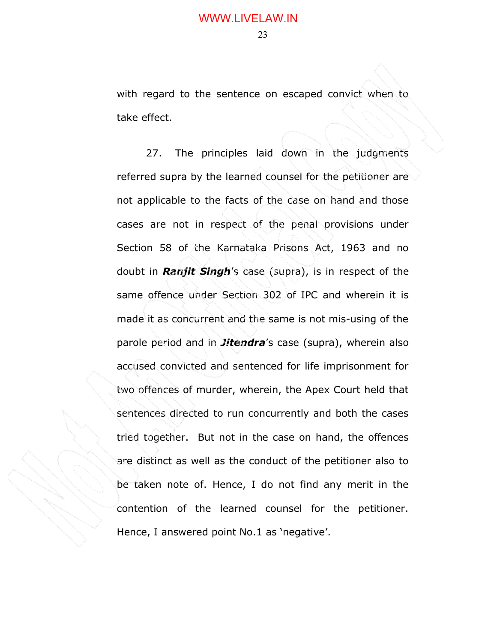with regard to the sentence on escaped convict when to take effect.

27. The principles laid down in the judgments referred supra by the learned counsel for the petitioner are not applicable to the facts of the case on hand and those cases are not in respect of the penal provisions under Section 58 of the Karnataka Prisons Act, 1963 and no doubt in **Ranjit Singh's** case (supra), is in respect of the same offence under Section 302 of IPC and wherein it is made it as concurrent and the same is not mis-using of the parole period and in *Jitendra's* case (supra), wherein also accused convicted and sentenced for life imprisonment for two offences of murder, wherein, the Apex Court held that sentences directed to run concurrently and both the cases tried together. But not in the case on hand, the offences are distinct as well as the conduct of the petitioner also to be taken note of. Hence, I do not find any merit in the contention of the learned counsel for the petitioner. Hence, I answered point No.1 as 'negative'.